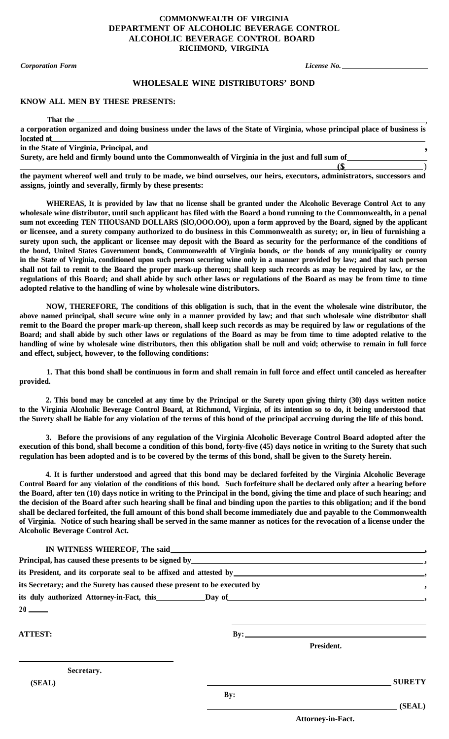## **COMMONWEALTH OF VIRGINIA DEPARTMENT OF ALCOHOLIC BEVERAGE CONTROL ALCOHOLIC BEVERAGE CONTROL BOARD RICHMOND, VIRGINIA**

*Corporation Form License No.*

<u>(S</u>

)

## **WHOLESALE WINE DISTRIBUTORS' BOND**

## **KNOW ALL MEN BY THESE PRESENTS:**

**That the ,**

**a corporation organized and doing business under the laws of the State of Virginia, whose principal place of business is** located at

**in the State of Virginia, Principal, and**

**Surety, are held and firmly bound unto the Commonwealth of Virginia in the just and full sum of**

**the payment whereof well and truly to be made, we bind ourselves, our heirs, executors, administrators, successors and assigns, jointly and severally, firmly by these presents:**

**WHEREAS, It is provided by law that no license shall be granted under the Alcoholic Beverage Control Act to any wholesale wine distributor, until such applicant has filed with the Board a bond running to the Commonwealth, in a penal sum not exceeding TEN THOUSAND DOLLARS (\$lO,OOO.OO), upon a form approved by the Board, signed by the applicant or licensee, and a surety company authorized to do business in this Commonwealth as surety; or, in lieu of furnishing a surety upon such, the applicant or licensee may deposit with the Board as security for the performance of the conditions of the bond, United States Government bonds, Commonwealth of Virginia bonds, or the bonds of any municipality or county in the State of Virginia, conditioned upon such person securing wine only in a manner provided by law; and that such person shall not fail to remit to the Board the proper mark-up thereon; shall keep such records as may be required by law, or the regulations of this Board; and shall abide by such other laws or regulations of the Board as may be from time to time adopted relative to the handling of wine by wholesale wine distributors.**

**NOW, THEREFORE, The conditions of this obligation is such, that in the event the wholesale wine distributor, the above named principal, shall secure wine only in a manner provided by law; and that such wholesale wine distributor shall remit to the Board the proper mark-up thereon, shall keep such records as may be required by law or regulations of the Board; and shall abide by such other laws or regulations of the Board as may be from time to time adopted relative to the handling of wine by wholesale wine distributors, then this obligation shall be null and void; otherwise to remain in full force and effect, subject, however, to the following conditions:**

**1. That this bond shall be continuous in form and shall remain in full force and effect until canceled as hereafter provided.**

**2. This bond may be canceled at any time by the Principal or the Surety upon giving thirty (30) days written notice to the Virginia Alcoholic Beverage Control Board, at Richmond, Virginia, of its intention so to do, it being understood that the Surety shall be liable for any violation of the terms of this bond of the principal accruing during the life of this bond.**

**3. Before the provisions of any regulation of the Virginia Alcoholic Beverage Control Board adopted after the execution of this bond, shall become a condition of this bond, forty-five (45) days notice in writing to the Surety that such regulation has been adopted and is to be covered by the terms of this bond, shall be given to the Surety herein.**

**4. It is further understood and agreed that this bond may be declared forfeited by the Virginia Alcoholic Beverage Control Board for any violation of the conditions of this bond. Such forfeiture shall be declared only after a hearing before the Board, after ten (10) days notice in writing to the Principal in the bond, giving the time and place of such hearing; and the decision of the Board after such hearing shall be final and binding upon the parties to this obligation; and if the bond shall be declared forfeited, the full amount of this bond shall become immediately due and payable to the Commonwealth of Virginia. Notice of such hearing shall be served in the same manner as notices for the revocation of a license under the Alcoholic Beverage Control Act.**

| $20$ — $-$     |     |            |               |
|----------------|-----|------------|---------------|
| <b>ATTEST:</b> |     | By:        |               |
|                |     | President. |               |
| Secretary.     |     |            |               |
| (SEAL)         |     |            | <b>SURETY</b> |
|                | By: |            |               |
|                |     |            | (SEAL)        |

**Attorney-in-Fact.**